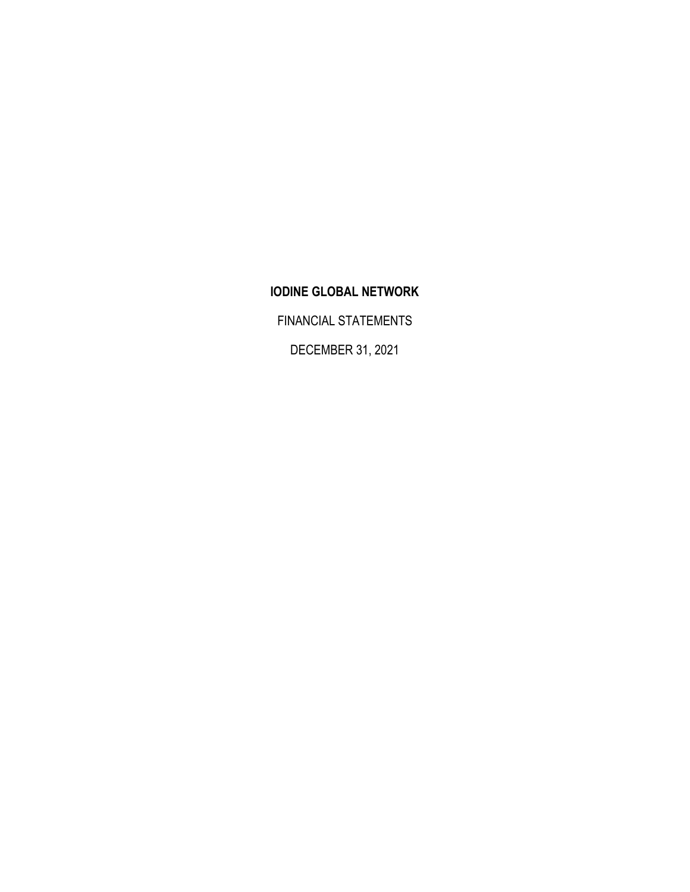FINANCIAL STATEMENTS

DECEMBER 31, 2021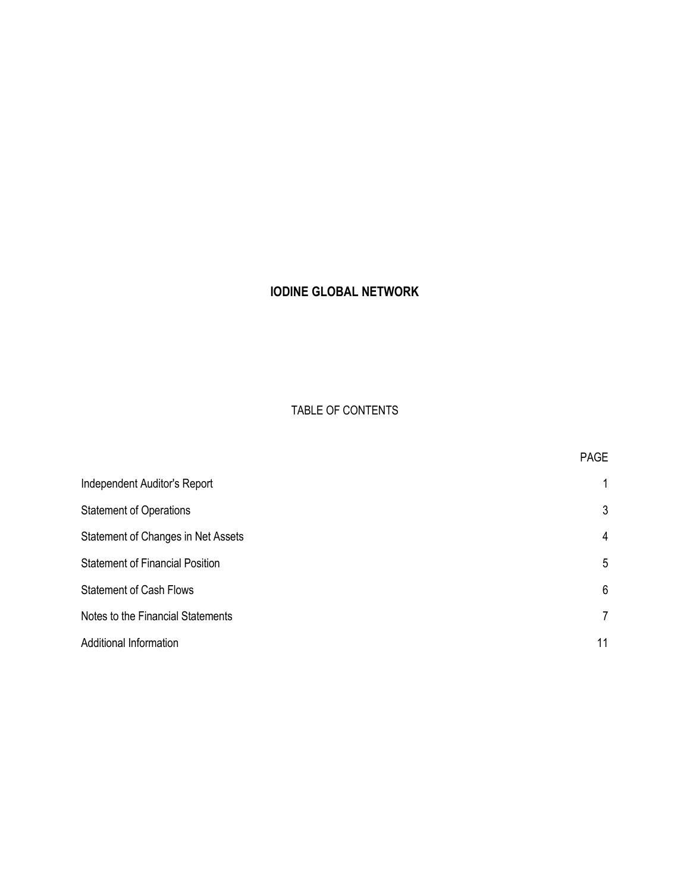## TABLE OF CONTENTS

|                                        | <b>PAGE</b>    |
|----------------------------------------|----------------|
| Independent Auditor's Report           | 1              |
| <b>Statement of Operations</b>         | 3              |
| Statement of Changes in Net Assets     | $\overline{4}$ |
| <b>Statement of Financial Position</b> | 5              |
| <b>Statement of Cash Flows</b>         | 6              |
| Notes to the Financial Statements      | 7              |
| <b>Additional Information</b>          | 11             |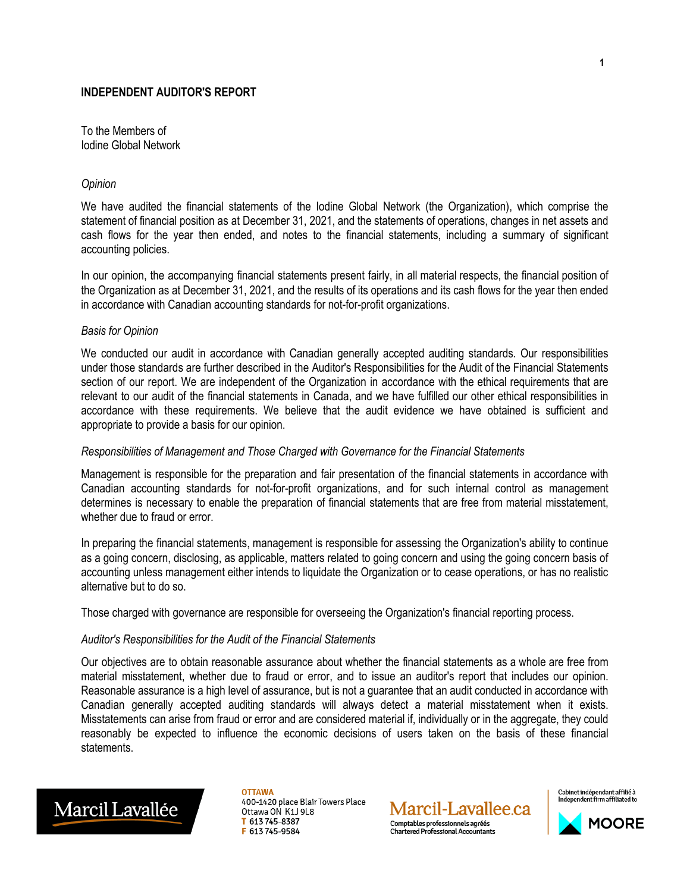### **INDEPENDENT AUDITOR'S REPORT**

To the Members of Iodine Global Network

#### *Opinion*

We have audited the financial statements of the Iodine Global Network (the Organization), which comprise the statement of financial position as at December 31, 2021, and the statements of operations, changes in net assets and cash flows for the year then ended, and notes to the financial statements, including a summary of significant accounting policies.

In our opinion, the accompanying financial statements present fairly, in all material respects, the financial position of the Organization as at December 31, 2021, and the results of its operations and its cash flows for the year then ended in accordance with Canadian accounting standards for not-for-profit organizations.

#### *Basis for Opinion*

We conducted our audit in accordance with Canadian generally accepted auditing standards. Our responsibilities under those standards are further described in the Auditor's Responsibilities for the Audit of the Financial Statements section of our report. We are independent of the Organization in accordance with the ethical requirements that are relevant to our audit of the financial statements in Canada, and we have fulfilled our other ethical responsibilities in accordance with these requirements. We believe that the audit evidence we have obtained is sufficient and appropriate to provide a basis for our opinion.

#### *Responsibilities of Management and Those Charged with Governance for the Financial Statements*

Management is responsible for the preparation and fair presentation of the financial statements in accordance with Canadian accounting standards for not-for-profit organizations, and for such internal control as management determines is necessary to enable the preparation of financial statements that are free from material misstatement, whether due to fraud or error.

In preparing the financial statements, management is responsible for assessing the Organization's ability to continue as a going concern, disclosing, as applicable, matters related to going concern and using the going concern basis of accounting unless management either intends to liquidate the Organization or to cease operations, or has no realistic alternative but to do so.

Those charged with governance are responsible for overseeing the Organization's financial reporting process.

#### *Auditor's Responsibilities for the Audit of the Financial Statements*

Our objectives are to obtain reasonable assurance about whether the financial statements as a whole are free from material misstatement, whether due to fraud or error, and to issue an auditor's report that includes our opinion. Reasonable assurance is a high level of assurance, but is not a guarantee that an audit conducted in accordance with Canadian generally accepted auditing standards will always detect a material misstatement when it exists. Misstatements can arise from fraud or error and are considered material if, individually or in the aggregate, they could reasonably be expected to influence the economic decisions of users taken on the basis of these financial statements.



**OTTAWA** 400-1420 place Blair Towers Place Ottawa ON K1J 9L8 T 613 745-8387 F 613 745-9584

Marcil-Lavallee.ca Comptables professionnels agréés **Chartered Professional Accountants** 

Cabinet indépendant affilié à Independent firm affiliated to

**1**

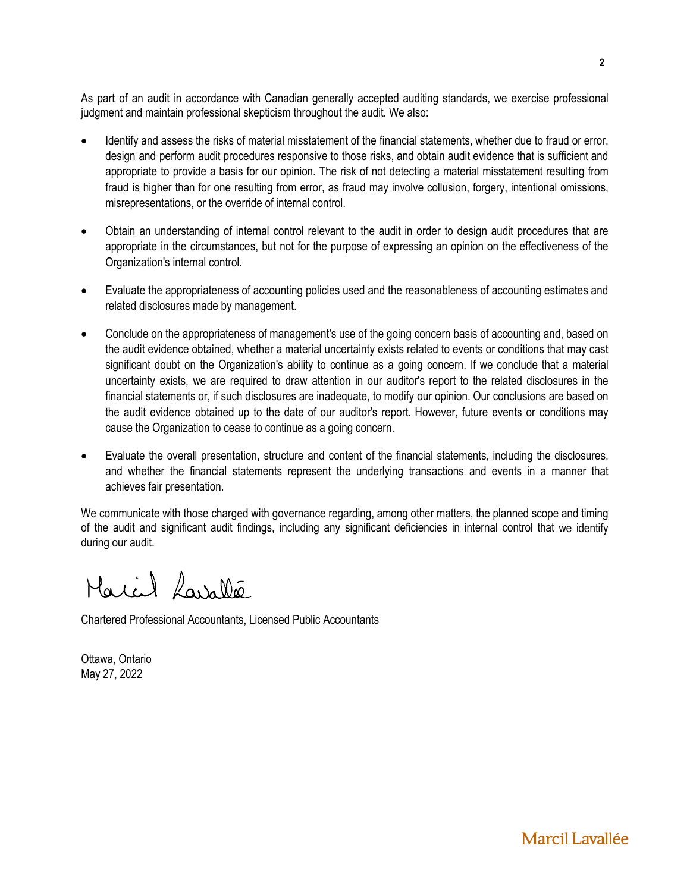As part of an audit in accordance with Canadian generally accepted auditing standards, we exercise professional judgment and maintain professional skepticism throughout the audit. We also:

- Identify and assess the risks of material misstatement of the financial statements, whether due to fraud or error, design and perform audit procedures responsive to those risks, and obtain audit evidence that is sufficient and appropriate to provide a basis for our opinion. The risk of not detecting a material misstatement resulting from fraud is higher than for one resulting from error, as fraud may involve collusion, forgery, intentional omissions, misrepresentations, or the override of internal control.
- Obtain an understanding of internal control relevant to the audit in order to design audit procedures that are appropriate in the circumstances, but not for the purpose of expressing an opinion on the effectiveness of the Organization's internal control.
- Evaluate the appropriateness of accounting policies used and the reasonableness of accounting estimates and related disclosures made by management.
- Conclude on the appropriateness of management's use of the going concern basis of accounting and, based on the audit evidence obtained, whether a material uncertainty exists related to events or conditions that may cast significant doubt on the Organization's ability to continue as a going concern. If we conclude that a material uncertainty exists, we are required to draw attention in our auditor's report to the related disclosures in the financial statements or, if such disclosures are inadequate, to modify our opinion. Our conclusions are based on the audit evidence obtained up to the date of our auditor's report. However, future events or conditions may cause the Organization to cease to continue as a going concern.
- Evaluate the overall presentation, structure and content of the financial statements, including the disclosures, and whether the financial statements represent the underlying transactions and events in a manner that achieves fair presentation.

We communicate with those charged with governance regarding, among other matters, the planned scope and timing of the audit and significant audit findings, including any significant deficiencies in internal control that we identify during our audit.

Marciel Lavallã

Chartered Professional Accountants, Licensed Public Accountants

Ottawa, Ontario May 27, 2022

Marcil Lavallée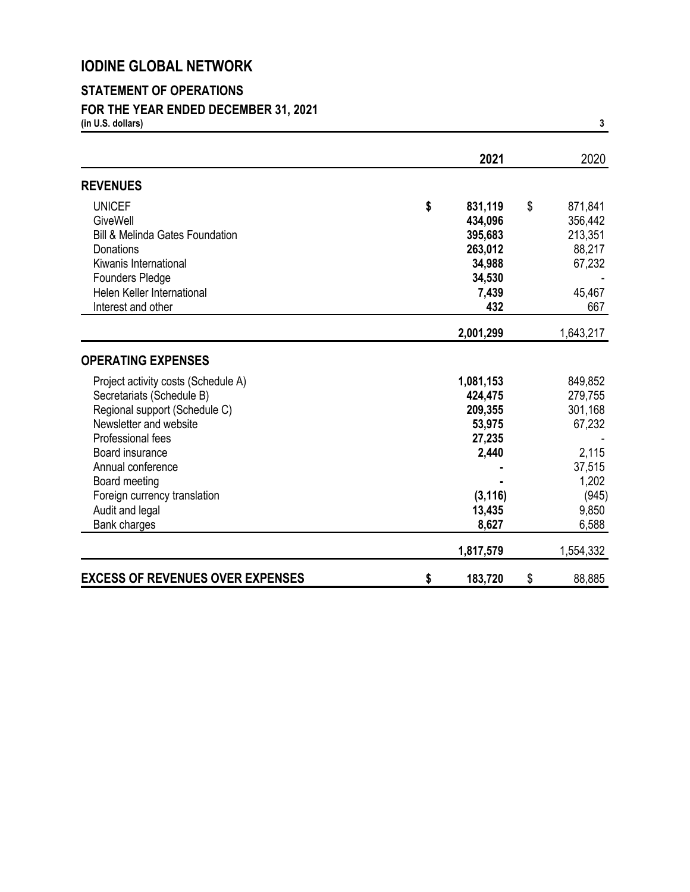## **STATEMENT OF OPERATIONS**

## **FOR THE YEAR ENDED DECEMBER 31, 2021**

**(in U.S. dollars) 3**

|                                            | 2021          | 2020          |
|--------------------------------------------|---------------|---------------|
| <b>REVENUES</b>                            |               |               |
| <b>UNICEF</b>                              | \$<br>831,119 | \$<br>871,841 |
| GiveWell                                   | 434,096       | 356,442       |
| <b>Bill &amp; Melinda Gates Foundation</b> | 395,683       | 213,351       |
| Donations                                  | 263,012       | 88,217        |
| Kiwanis International                      | 34,988        | 67,232        |
| Founders Pledge                            | 34,530        |               |
| Helen Keller International                 | 7,439         | 45,467        |
| Interest and other                         | 432           | 667           |
|                                            | 2,001,299     | 1,643,217     |
| <b>OPERATING EXPENSES</b>                  |               |               |
| Project activity costs (Schedule A)        | 1,081,153     | 849,852       |
| Secretariats (Schedule B)                  | 424,475       | 279,755       |
| Regional support (Schedule C)              | 209,355       | 301,168       |
| Newsletter and website                     | 53,975        | 67,232        |
| Professional fees                          | 27,235        |               |
| Board insurance                            | 2,440         | 2,115         |
| Annual conference                          |               | 37,515        |
| Board meeting                              |               | 1,202         |
| Foreign currency translation               | (3, 116)      | (945)         |
| Audit and legal                            | 13,435        | 9,850         |
| Bank charges                               | 8,627         | 6,588         |
|                                            | 1,817,579     | 1,554,332     |
| <b>EXCESS OF REVENUES OVER EXPENSES</b>    | \$<br>183,720 | \$<br>88,885  |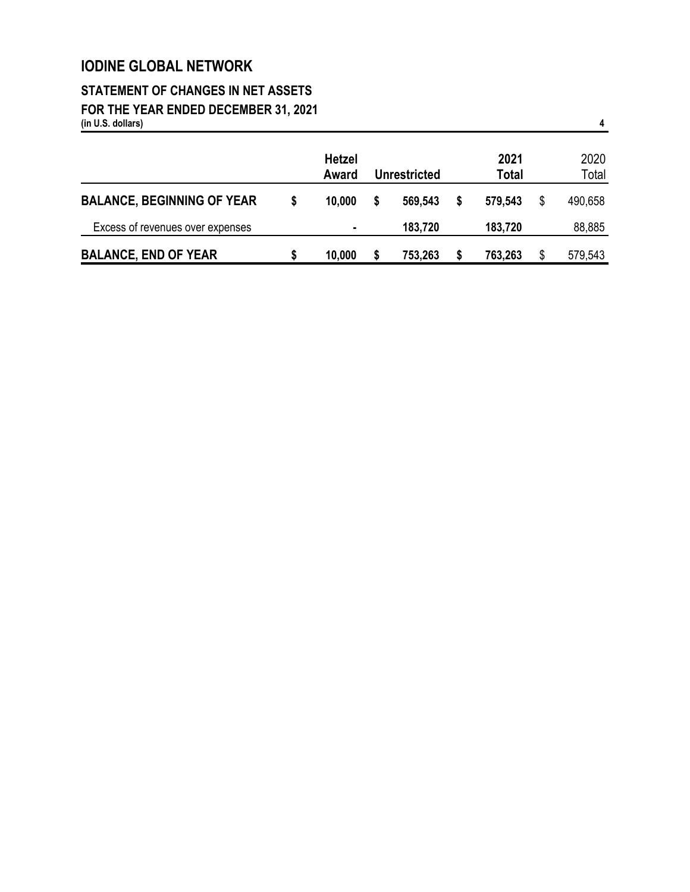## **STATEMENT OF CHANGES IN NET ASSETS FOR THE YEAR ENDED DECEMBER 31, 2021**

**(in U.S. dollars) 4**

|                                   |   | <b>Hetzel</b><br>Award | <b>Unrestricted</b> | 2021<br><b>Total</b> |   | 2020<br>Total |
|-----------------------------------|---|------------------------|---------------------|----------------------|---|---------------|
| <b>BALANCE, BEGINNING OF YEAR</b> | S | 10,000                 | \$<br>569,543       | 579.543              | S | 490,658       |
| Excess of revenues over expenses  |   |                        | 183,720             | 183,720              |   | 88,885        |
| <b>BALANCE, END OF YEAR</b>       | S | 10,000                 | \$<br>753,263       | 763,263              |   | 579,543       |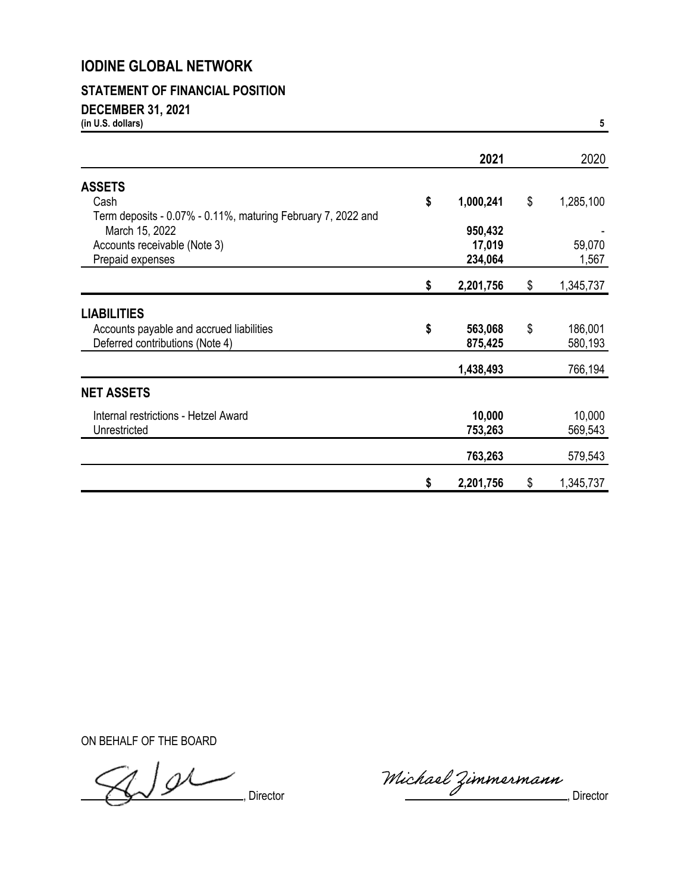## **STATEMENT OF FINANCIAL POSITION**

## **DECEMBER 31, 2021**

| (in U.S. dollars)                                            |                 | 5               |
|--------------------------------------------------------------|-----------------|-----------------|
|                                                              | 2021            | 2020            |
| <b>ASSETS</b>                                                |                 |                 |
| Cash                                                         | \$<br>1,000,241 | \$<br>1,285,100 |
| Term deposits - 0.07% - 0.11%, maturing February 7, 2022 and |                 |                 |
| March 15, 2022                                               | 950,432         |                 |
| Accounts receivable (Note 3)                                 | 17,019          | 59,070          |
| Prepaid expenses                                             | 234,064         | 1,567           |
|                                                              | \$<br>2,201,756 | \$<br>1,345,737 |
| <b>LIABILITIES</b>                                           |                 |                 |
| Accounts payable and accrued liabilities                     | \$<br>563,068   | \$<br>186,001   |
| Deferred contributions (Note 4)                              | 875,425         | 580,193         |
|                                                              | 1,438,493       | 766,194         |
| <b>NET ASSETS</b>                                            |                 |                 |
| Internal restrictions - Hetzel Award                         | 10,000          | 10,000          |
| Unrestricted                                                 | 753,263         | 569,543         |
|                                                              | 763,263         | 579,543         |
|                                                              | \$<br>2,201,756 | \$<br>1,345,737 |
|                                                              |                 |                 |

ON BEHALF OF THE BOARD<br>
SALLER

Michael Jimmermann<br>Director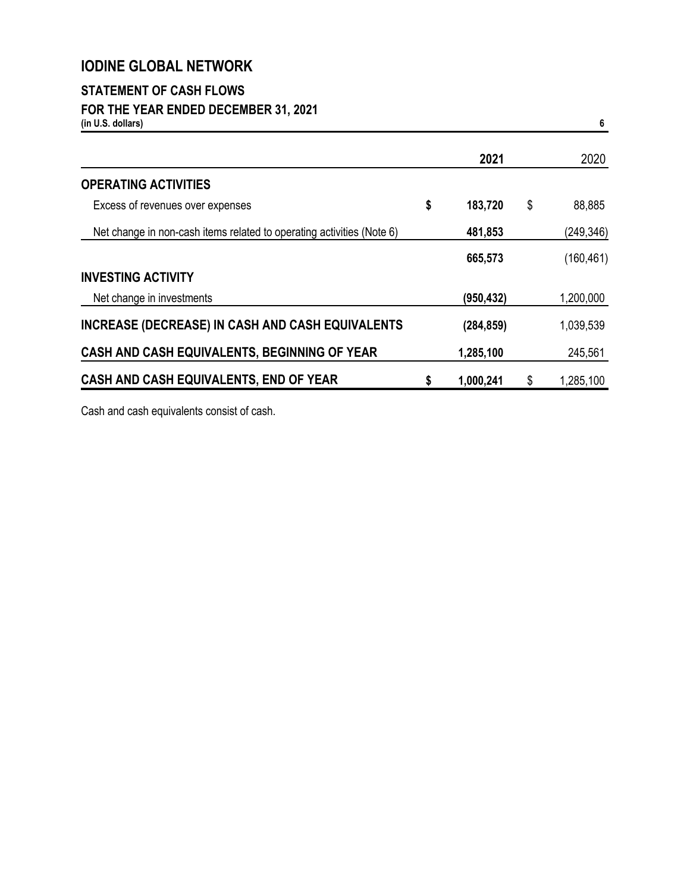## **STATEMENT OF CASH FLOWS**

## **FOR THE YEAR ENDED DECEMBER 31, 2021**

**(in U.S. dollars) 6**

|                                                                       | 2021          | 2020            |
|-----------------------------------------------------------------------|---------------|-----------------|
| <b>OPERATING ACTIVITIES</b>                                           |               |                 |
| Excess of revenues over expenses                                      | \$<br>183,720 | \$<br>88,885    |
| Net change in non-cash items related to operating activities (Note 6) | 481,853       | (249,346)       |
|                                                                       | 665,573       | (160, 461)      |
| <b>INVESTING ACTIVITY</b>                                             |               |                 |
| Net change in investments                                             | (950,432)     | 1,200,000       |
| INCREASE (DECREASE) IN CASH AND CASH EQUIVALENTS                      | (284, 859)    | 1,039,539       |
| CASH AND CASH EQUIVALENTS, BEGINNING OF YEAR                          | 1,285,100     | 245,561         |
| CASH AND CASH EQUIVALENTS, END OF YEAR                                | 1,000,241     | \$<br>1,285,100 |

Cash and cash equivalents consist of cash.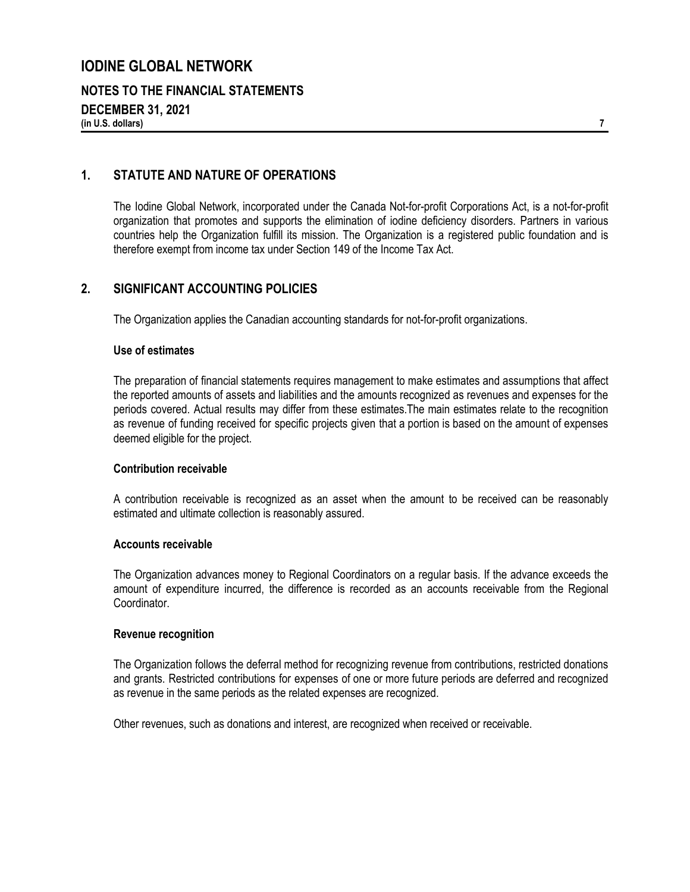**NOTES TO THE FINANCIAL STATEMENTS DECEMBER 31, 2021 (in U.S. dollars) 7**

### **1. STATUTE AND NATURE OF OPERATIONS**

The Iodine Global Network, incorporated under the Canada Not-for-profit Corporations Act, is a not-for-profit organization that promotes and supports the elimination of iodine deficiency disorders. Partners in various countries help the Organization fulfill its mission. The Organization is a registered public foundation and is therefore exempt from income tax under Section 149 of the Income Tax Act.

## **2. SIGNIFICANT ACCOUNTING POLICIES**

The Organization applies the Canadian accounting standards for not-for-profit organizations.

#### **Use of estimates**

The preparation of financial statements requires management to make estimates and assumptions that affect the reported amounts of assets and liabilities and the amounts recognized as revenues and expenses for the periods covered. Actual results may differ from these estimates.The main estimates relate to the recognition as revenue of funding received for specific projects given that a portion is based on the amount of expenses deemed eligible for the project.

#### **Contribution receivable**

A contribution receivable is recognized as an asset when the amount to be received can be reasonably estimated and ultimate collection is reasonably assured.

#### **Accounts receivable**

The Organization advances money to Regional Coordinators on a regular basis. If the advance exceeds the amount of expenditure incurred, the difference is recorded as an accounts receivable from the Regional **Coordinator** 

#### **Revenue recognition**

The Organization follows the deferral method for recognizing revenue from contributions, restricted donations and grants. Restricted contributions for expenses of one or more future periods are deferred and recognized as revenue in the same periods as the related expenses are recognized.

Other revenues, such as donations and interest, are recognized when received or receivable.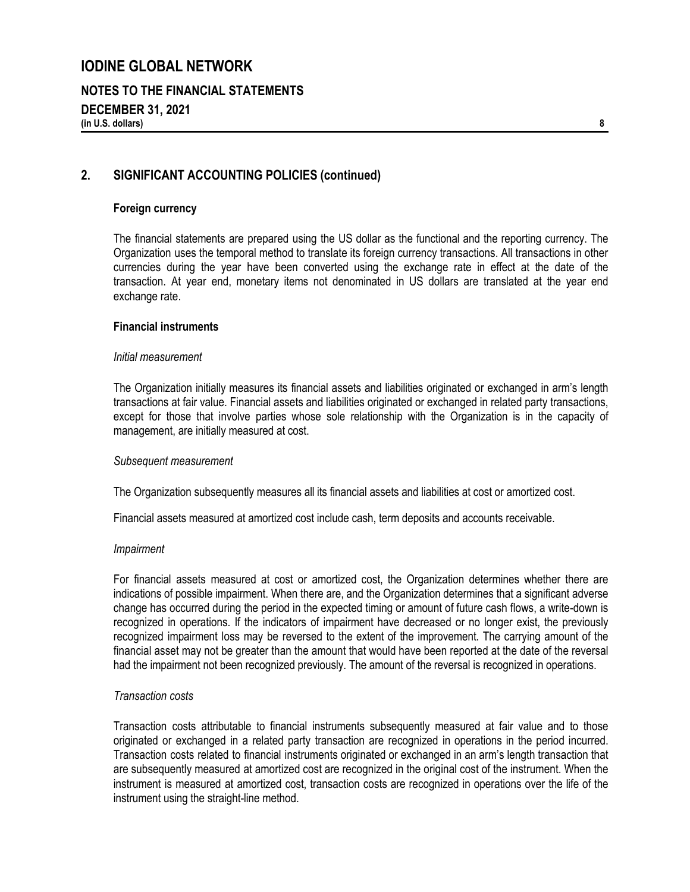**NOTES TO THE FINANCIAL STATEMENTS DECEMBER 31, 2021 (in U.S. dollars) 8**

### **2. SIGNIFICANT ACCOUNTING POLICIES (continued)**

### **Foreign currency**

The financial statements are prepared using the US dollar as the functional and the reporting currency. The Organization uses the temporal method to translate its foreign currency transactions. All transactions in other currencies during the year have been converted using the exchange rate in effect at the date of the transaction. At year end, monetary items not denominated in US dollars are translated at the year end exchange rate.

#### **Financial instruments**

#### *Initial measurement*

The Organization initially measures its financial assets and liabilities originated or exchanged in arm's length transactions at fair value. Financial assets and liabilities originated or exchanged in related party transactions, except for those that involve parties whose sole relationship with the Organization is in the capacity of management, are initially measured at cost.

#### *Subsequent measurement*

The Organization subsequently measures all its financial assets and liabilities at cost or amortized cost.

Financial assets measured at amortized cost include cash, term deposits and accounts receivable.

#### *Impairment*

For financial assets measured at cost or amortized cost, the Organization determines whether there are indications of possible impairment. When there are, and the Organization determines that a significant adverse change has occurred during the period in the expected timing or amount of future cash flows, a write-down is recognized in operations. If the indicators of impairment have decreased or no longer exist, the previously recognized impairment loss may be reversed to the extent of the improvement. The carrying amount of the financial asset may not be greater than the amount that would have been reported at the date of the reversal had the impairment not been recognized previously. The amount of the reversal is recognized in operations.

### *Transaction costs*

Transaction costs attributable to financial instruments subsequently measured at fair value and to those originated or exchanged in a related party transaction are recognized in operations in the period incurred. Transaction costs related to financial instruments originated or exchanged in an arm's length transaction that are subsequently measured at amortized cost are recognized in the original cost of the instrument. When the instrument is measured at amortized cost, transaction costs are recognized in operations over the life of the instrument using the straight-line method.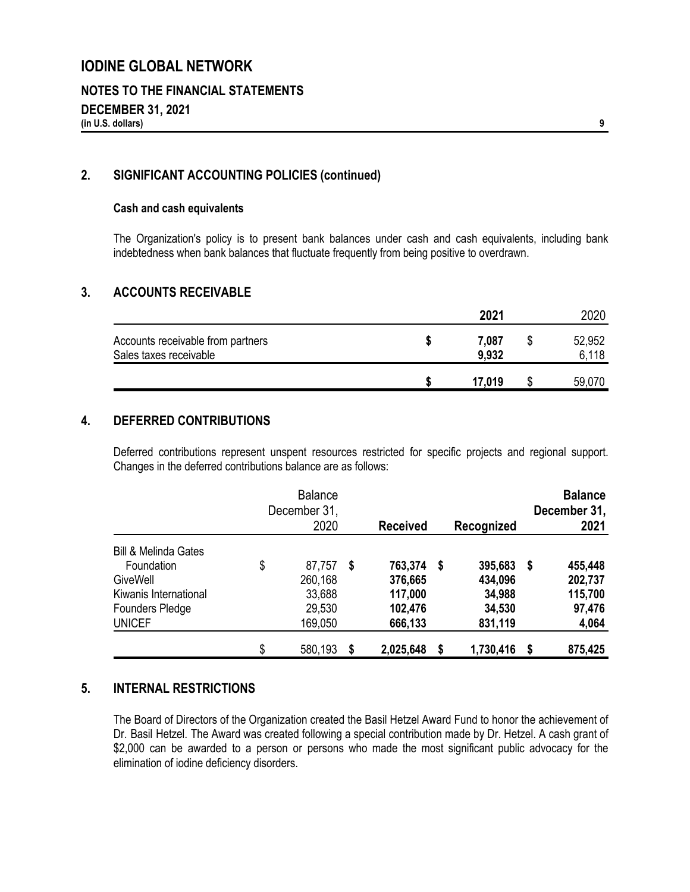### **NOTES TO THE FINANCIAL STATEMENTS DECEMBER 31, 2021 (in U.S. dollars) 9**

## **2. SIGNIFICANT ACCOUNTING POLICIES (continued)**

### **Cash and cash equivalents**

The Organization's policy is to present bank balances under cash and cash equivalents, including bank indebtedness when bank balances that fluctuate frequently from being positive to overdrawn.

### **3. ACCOUNTS RECEIVABLE**

|                                                             | 2021           | 2020            |
|-------------------------------------------------------------|----------------|-----------------|
| Accounts receivable from partners<br>Sales taxes receivable | 7,087<br>9,932 | 52,952<br>6,118 |
|                                                             | 17,019         | 59,070          |

### **4. DEFERRED CONTRIBUTIONS**

Deferred contributions represent unspent resources restricted for specific projects and regional support. Changes in the deferred contributions balance are as follows:

|                                 | <b>Balance</b><br>December 31, |                 |   |            |   | <b>Balance</b><br>December 31, |
|---------------------------------|--------------------------------|-----------------|---|------------|---|--------------------------------|
|                                 | 2020                           | <b>Received</b> |   | Recognized |   | 2021                           |
| <b>Bill &amp; Melinda Gates</b> |                                |                 |   |            |   |                                |
| Foundation                      | \$<br>87,757                   | \$<br>763,374   | S | 395,683    | S | 455,448                        |
| GiveWell                        | 260,168                        | 376,665         |   | 434,096    |   | 202,737                        |
| Kiwanis International           | 33,688                         | 117,000         |   | 34,988     |   | 115,700                        |
| Founders Pledge                 | 29,530                         | 102,476         |   | 34,530     |   | 97,476                         |
| <b>UNICEF</b>                   | 169,050                        | 666,133         |   | 831,119    |   | 4,064                          |
|                                 | \$<br>580,193                  | \$<br>2,025,648 |   | 1,730,416  |   | 875,425                        |

### **5. INTERNAL RESTRICTIONS**

The Board of Directors of the Organization created the Basil Hetzel Award Fund to honor the achievement of Dr. Basil Hetzel. The Award was created following a special contribution made by Dr. Hetzel. A cash grant of \$2,000 can be awarded to a person or persons who made the most significant public advocacy for the elimination of iodine deficiency disorders.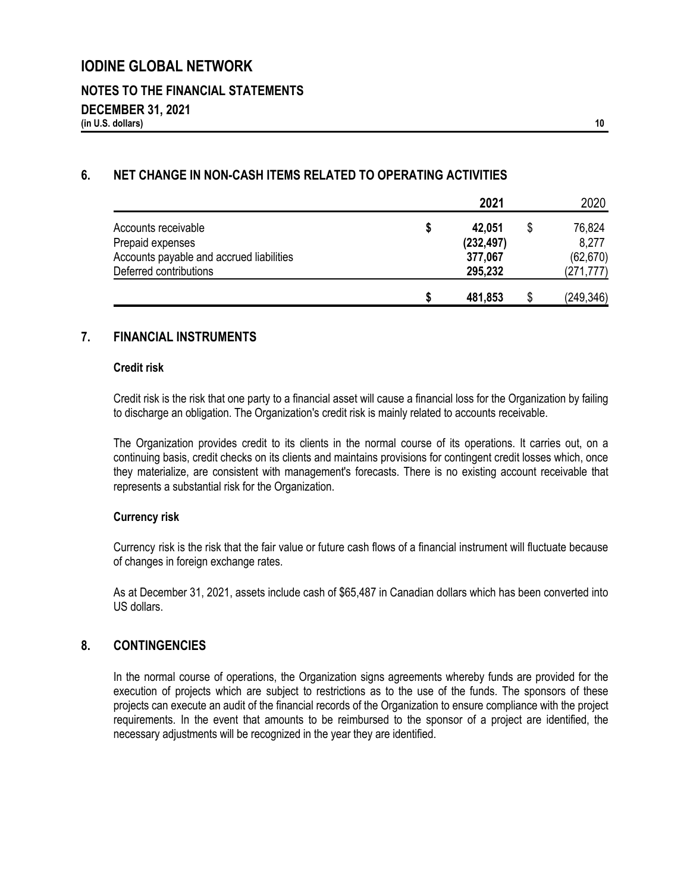### **NOTES TO THE FINANCIAL STATEMENTS DECEMBER 31, 2021 (in U.S. dollars) 10**

## **6. NET CHANGE IN NON-CASH ITEMS RELATED TO OPERATING ACTIVITIES**

|                                                                                                               |   | 2021                                       | 2020                                       |
|---------------------------------------------------------------------------------------------------------------|---|--------------------------------------------|--------------------------------------------|
| Accounts receivable<br>Prepaid expenses<br>Accounts payable and accrued liabilities<br>Deferred contributions | S | 42,051<br>(232, 497)<br>377,067<br>295,232 | 76,824<br>8,277<br>(62, 670)<br>(271, 777) |
|                                                                                                               | S | 481,853                                    | (249, 346)                                 |

### **7. FINANCIAL INSTRUMENTS**

### **Credit risk**

Credit risk is the risk that one party to a financial asset will cause a financial loss for the Organization by failing to discharge an obligation. The Organization's credit risk is mainly related to accounts receivable.

The Organization provides credit to its clients in the normal course of its operations. It carries out, on a continuing basis, credit checks on its clients and maintains provisions for contingent credit losses which, once they materialize, are consistent with management's forecasts. There is no existing account receivable that represents a substantial risk for the Organization.

### **Currency risk**

Currency risk is the risk that the fair value or future cash flows of a financial instrument will fluctuate because of changes in foreign exchange rates.

As at December 31, 2021, assets include cash of \$65,487 in Canadian dollars which has been converted into US dollars.

### **8. CONTINGENCIES**

In the normal course of operations, the Organization signs agreements whereby funds are provided for the execution of projects which are subject to restrictions as to the use of the funds. The sponsors of these projects can execute an audit of the financial records of the Organization to ensure compliance with the project requirements. In the event that amounts to be reimbursed to the sponsor of a project are identified, the necessary adjustments will be recognized in the year they are identified.